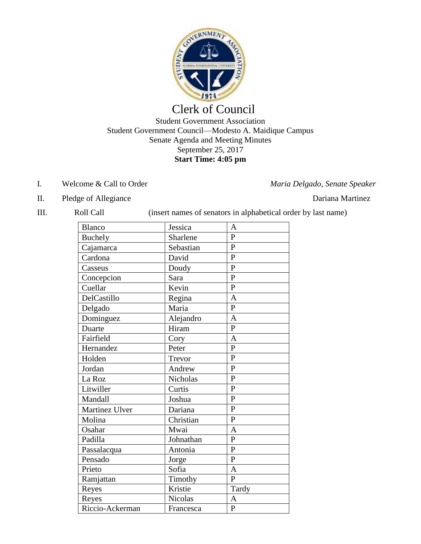

# Clerk of Council

#### Student Government Association Student Government Council—Modesto A. Maidique Campus Senate Agenda and Meeting Minutes September 25, 2017 **Start Time: 4:05 pm**

I. Welcome & Call to Order *Maria Delgado, Senate Speaker*

- II. Pledge of Allegiance Dariana Martinez
- 

III. Roll Call (insert names of senators in alphabetical order by last name)

| <b>Blanco</b>   | Jessica         | A              |
|-----------------|-----------------|----------------|
| <b>Buchely</b>  | Sharlene        | $\mathbf{P}$   |
| Cajamarca       | Sebastian       | $\mathbf{P}$   |
| Cardona         | David           | $\mathbf{P}$   |
| Casseus         | Doudy           | P              |
| Concepcion      | Sara            | $\overline{P}$ |
| Cuellar         | Kevin           | $\mathbf{P}$   |
| DelCastillo     | Regina          | $\overline{A}$ |
| Delgado         | Maria           | $\mathbf{P}$   |
| Dominguez       | Alejandro       | $\overline{A}$ |
| Duarte          | Hiram           | $\overline{P}$ |
| Fairfield       | Cory            | $\mathbf{A}$   |
| Hernandez       | Peter           | $\mathbf{P}$   |
| Holden          | Trevor          | $\mathbf{P}$   |
| Jordan          | Andrew          | $\mathbf{P}$   |
| La Roz          | <b>Nicholas</b> | $\mathbf{P}$   |
| Litwiller       | Curtis          | $\mathbf{P}$   |
| Mandall         | Joshua          | $\mathbf{P}$   |
| Martinez Ulver  | Dariana         | $\mathbf{P}$   |
| Molina          | Christian       | $\mathbf{P}$   |
| Osahar          | Mwai            | $\mathbf{A}$   |
| Padilla         | Johnathan       | $\overline{P}$ |
| Passalacqua     | Antonia         | $\mathbf{P}$   |
| Pensado         | Jorge           | $\overline{P}$ |
| Prieto          | Sofia           | $\overline{A}$ |
| Ramjattan       | Timothy         | $\overline{P}$ |
| Reyes           | Kristie         | Tardy          |
| Reyes           | Nicolas         | $\overline{A}$ |
| Riccio-Ackerman | Francesca       | $\mathbf{P}$   |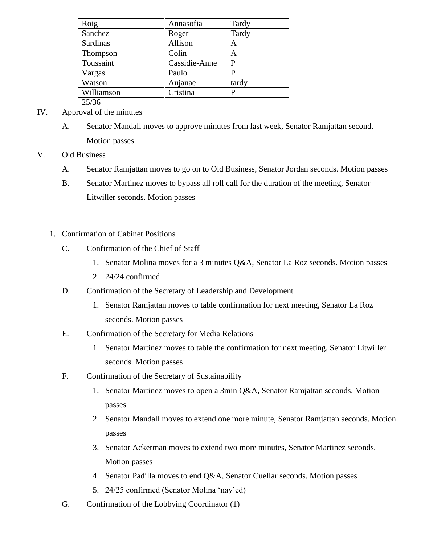| Roig       | Annasofia     | Tardy |
|------------|---------------|-------|
| Sanchez    | Roger         | Tardy |
| Sardinas   | Allison       | Α     |
| Thompson   | Colin         | A     |
| Toussaint  | Cassidie-Anne | P     |
| Vargas     | Paulo         | Р     |
| Watson     | Aujanae       | tardy |
| Williamson | Cristina      | Р     |
| 25/36      |               |       |

### IV. Approval of the minutes

A. Senator Mandall moves to approve minutes from last week, Senator Ramjattan second. Motion passes

## V. Old Business

- A. Senator Ramjattan moves to go on to Old Business, Senator Jordan seconds. Motion passes
- B. Senator Martinez moves to bypass all roll call for the duration of the meeting, Senator Litwiller seconds. Motion passes
- 1. Confirmation of Cabinet Positions
	- C. Confirmation of the Chief of Staff
		- 1. Senator Molina moves for a 3 minutes Q&A, Senator La Roz seconds. Motion passes
		- 2. 24/24 confirmed
	- D. Confirmation of the Secretary of Leadership and Development
		- 1. Senator Ramjattan moves to table confirmation for next meeting, Senator La Roz seconds. Motion passes
	- E. Confirmation of the Secretary for Media Relations
		- 1. Senator Martinez moves to table the confirmation for next meeting, Senator Litwiller seconds. Motion passes
	- F. Confirmation of the Secretary of Sustainability
		- 1. Senator Martinez moves to open a 3min Q&A, Senator Ramjattan seconds. Motion passes
		- 2. Senator Mandall moves to extend one more minute, Senator Ramjattan seconds. Motion passes
		- 3. Senator Ackerman moves to extend two more minutes, Senator Martinez seconds. Motion passes
		- 4. Senator Padilla moves to end Q&A, Senator Cuellar seconds. Motion passes
		- 5. 24/25 confirmed (Senator Molina 'nay'ed)
	- G. Confirmation of the Lobbying Coordinator (1)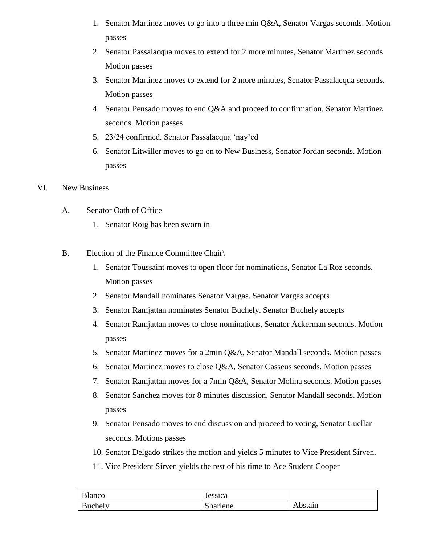- 1. Senator Martinez moves to go into a three min Q&A, Senator Vargas seconds. Motion passes
- 2. Senator Passalacqua moves to extend for 2 more minutes, Senator Martinez seconds Motion passes
- 3. Senator Martinez moves to extend for 2 more minutes, Senator Passalacqua seconds. Motion passes
- 4. Senator Pensado moves to end Q&A and proceed to confirmation, Senator Martinez seconds. Motion passes
- 5. 23/24 confirmed. Senator Passalacqua 'nay'ed
- 6. Senator Litwiller moves to go on to New Business, Senator Jordan seconds. Motion passes
- VI. New Business
	- A. Senator Oath of Office
		- 1. Senator Roig has been sworn in
	- B. Election of the Finance Committee Chair
		- 1. Senator Toussaint moves to open floor for nominations, Senator La Roz seconds. Motion passes
		- 2. Senator Mandall nominates Senator Vargas. Senator Vargas accepts
		- 3. Senator Ramjattan nominates Senator Buchely. Senator Buchely accepts
		- 4. Senator Ramjattan moves to close nominations, Senator Ackerman seconds. Motion passes
		- 5. Senator Martinez moves for a 2min Q&A, Senator Mandall seconds. Motion passes
		- 6. Senator Martinez moves to close Q&A, Senator Casseus seconds. Motion passes
		- 7. Senator Ramjattan moves for a 7min Q&A, Senator Molina seconds. Motion passes
		- 8. Senator Sanchez moves for 8 minutes discussion, Senator Mandall seconds. Motion passes
		- 9. Senator Pensado moves to end discussion and proceed to voting, Senator Cuellar seconds. Motions passes
		- 10. Senator Delgado strikes the motion and yields 5 minutes to Vice President Sirven.
		- 11. Vice President Sirven yields the rest of his time to Ace Student Cooper

| Blanco  | Jessica  |         |
|---------|----------|---------|
| Buchely | Sharlene | Abstain |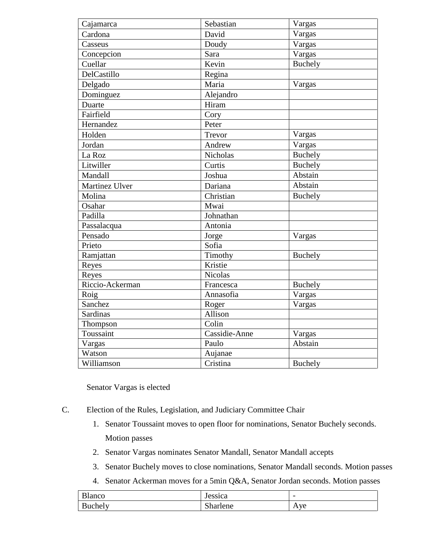| Cajamarca       | Sebastian       | Vargas         |
|-----------------|-----------------|----------------|
| Cardona         | David           | Vargas         |
| Casseus         | Doudy           | Vargas         |
| Concepcion      | Sara            | Vargas         |
| Cuellar         | Kevin           | <b>Buchely</b> |
| DelCastillo     | Regina          |                |
| Delgado         | Maria           | Vargas         |
| Dominguez       | Alejandro       |                |
| Duarte          | Hiram           |                |
| Fairfield       | Cory            |                |
| Hernandez       | Peter           |                |
| Holden          | Trevor          | Vargas         |
| Jordan          | Andrew          | Vargas         |
| La Roz          | <b>Nicholas</b> | <b>Buchely</b> |
| Litwiller       | Curtis          | <b>Buchely</b> |
| Mandall         | Joshua          | Abstain        |
| Martinez Ulver  | Dariana         | Abstain        |
| Molina          | Christian       | <b>Buchely</b> |
| Osahar          | Mwai            |                |
| Padilla         | Johnathan       |                |
| Passalacqua     | Antonia         |                |
| Pensado         | Jorge           | Vargas         |
| Prieto          | Sofia           |                |
| Ramjattan       | Timothy         | <b>Buchely</b> |
| Reyes           | Kristie         |                |
| Reyes           | <b>Nicolas</b>  |                |
| Riccio-Ackerman | Francesca       | <b>Buchely</b> |
| Roig            | Annasofia       | Vargas         |
| Sanchez         | Roger           | Vargas         |
| <b>Sardinas</b> | Allison         |                |
| Thompson        | Colin           |                |
| Toussaint       | Cassidie-Anne   | Vargas         |
| Vargas          | Paulo           | Abstain        |
| Watson          | Aujanae         |                |
| Williamson      | Cristina        | <b>Buchely</b> |

Senator Vargas is elected

- C. Election of the Rules, Legislation, and Judiciary Committee Chair
	- 1. Senator Toussaint moves to open floor for nominations, Senator Buchely seconds. Motion passes
	- 2. Senator Vargas nominates Senator Mandall, Senator Mandall accepts
	- 3. Senator Buchely moves to close nominations, Senator Mandall seconds. Motion passes
	- 4. Senator Ackerman moves for a 5min Q&A, Senator Jordan seconds. Motion passes

| $\sim$ 1<br><b>Blanco</b> | Jessica  | $\overline{\phantom{0}}$ |
|---------------------------|----------|--------------------------|
| Buchely                   | Sharlene | Ave                      |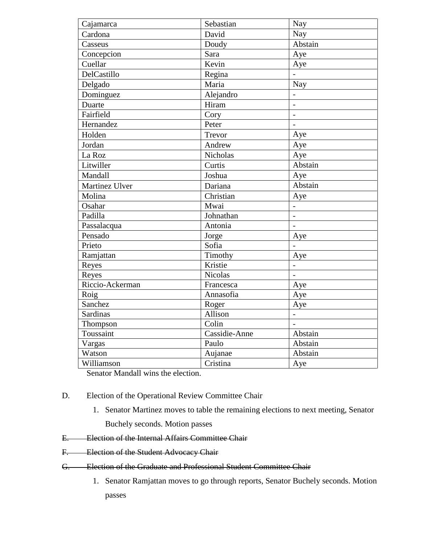| Cajamarca       | Sebastian       | Nay                      |
|-----------------|-----------------|--------------------------|
| Cardona         | David           | Nay                      |
| Casseus         | Doudy           | Abstain                  |
| Concepcion      | Sara            | Aye                      |
| Cuellar         | Kevin           | Aye                      |
| DelCastillo     | Regina          |                          |
| Delgado         | Maria           | Nay                      |
| Dominguez       | Alejandro       | $\overline{\phantom{0}}$ |
| Duarte          | Hiram           | $\overline{a}$           |
| Fairfield       | Cory            | $\overline{a}$           |
| Hernandez       | Peter           |                          |
| Holden          | Trevor          | Aye                      |
| Jordan          | Andrew          | Aye                      |
| La Roz          | <b>Nicholas</b> | Aye                      |
| Litwiller       | Curtis          | Abstain                  |
| Mandall         | Joshua          | Aye                      |
| Martinez Ulver  | Dariana         | Abstain                  |
| Molina          | Christian       | Aye                      |
| Osahar          | Mwai            | $\overline{a}$           |
| Padilla         | Johnathan       | $\overline{a}$           |
| Passalacqua     | Antonia         |                          |
| Pensado         | Jorge           | Aye                      |
| Prieto          | Sofia           | $\overline{a}$           |
| Ramjattan       | Timothy         | Aye                      |
| Reyes           | Kristie         | $\overline{a}$           |
| Reyes           | <b>Nicolas</b>  |                          |
| Riccio-Ackerman | Francesca       | Aye                      |
| Roig            | Annasofia       | Aye                      |
| Sanchez         | Roger           | Aye                      |
| Sardinas        | Allison         | $\overline{a}$           |
| Thompson        | Colin           |                          |
| Toussaint       | Cassidie-Anne   | Abstain                  |
| Vargas          | Paulo           | Abstain                  |
| Watson          | Aujanae         | Abstain                  |
| Williamson      | Cristina        | Aye                      |

Senator Mandall wins the election.

- D. Election of the Operational Review Committee Chair
	- 1. Senator Martinez moves to table the remaining elections to next meeting, Senator Buchely seconds. Motion passes
- E. Election of the Internal Affairs Committee Chair
- F. Election of the Student Advocacy Chair
- G. Election of the Graduate and Professional Student Committee Chair
	- 1. Senator Ramjattan moves to go through reports, Senator Buchely seconds. Motion passes